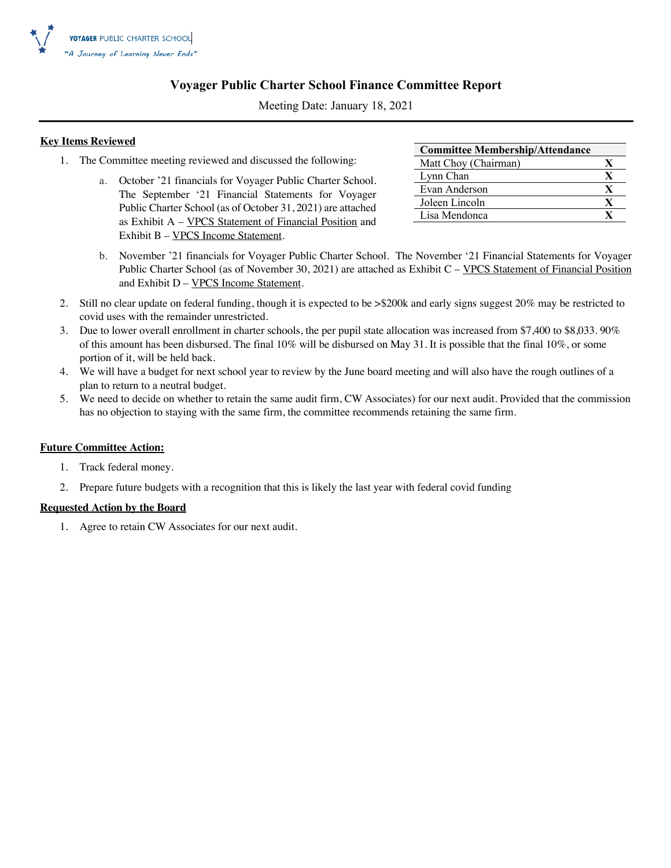

### **Voyager Public Charter School Finance Committee Report**

Meeting Date: January 18, 2021

### **Key Items Reviewed**

- 1. The Committee meeting reviewed and discussed the following:
	- a. October '21 financials for Voyager Public Charter School. The September '21 Financial Statements for Voyager Public Charter School (as of October 31, 2021) are attached as Exhibit A – VPCS Statement of Financial Position and Exhibit B – VPCS Income Statement.

| <b>Committee Membership/Attendance</b> |   |
|----------------------------------------|---|
| Matt Choy (Chairman)                   |   |
| Lynn Chan                              | X |
| Evan Anderson                          | X |
| Joleen Lincoln                         | X |
| Lisa Mendonca                          |   |

- b. November '21 financials for Voyager Public Charter School. The November '21 Financial Statements for Voyager Public Charter School (as of November 30, 2021) are attached as Exhibit C – VPCS Statement of Financial Position and Exhibit D – VPCS Income Statement.
- 2. Still no clear update on federal funding, though it is expected to be >\$200k and early signs suggest 20% may be restricted to covid uses with the remainder unrestricted.
- 3. Due to lower overall enrollment in charter schools, the per pupil state allocation was increased from \$7,400 to \$8,033. 90% of this amount has been disbursed. The final 10% will be disbursed on May 31. It is possible that the final 10%, or some portion of it, will be held back.
- 4. We will have a budget for next school year to review by the June board meeting and will also have the rough outlines of a plan to return to a neutral budget.
- 5. We need to decide on whether to retain the same audit firm, CW Associates) for our next audit. Provided that the commission has no objection to staying with the same firm, the committee recommends retaining the same firm.

### **Future Committee Action:**

- 1. Track federal money.
- 2. Prepare future budgets with a recognition that this is likely the last year with federal covid funding

### **Requested Action by the Board**

1. Agree to retain CW Associates for our next audit.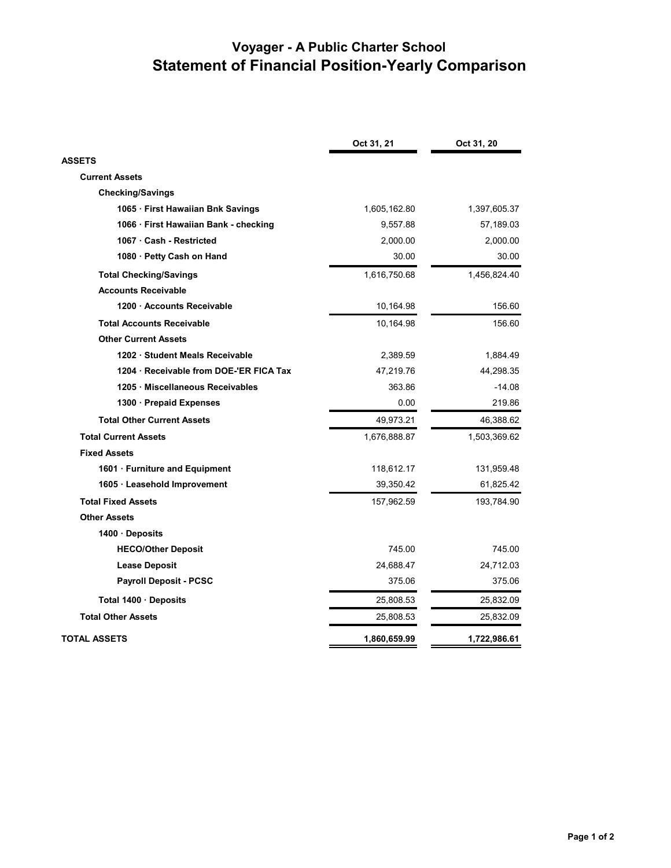|                                       | Oct 31, 21   | Oct 31, 20   |
|---------------------------------------|--------------|--------------|
| <b>ASSETS</b>                         |              |              |
| <b>Current Assets</b>                 |              |              |
| <b>Checking/Savings</b>               |              |              |
| 1065 · First Hawaiian Bnk Savings     | 1,605,162.80 | 1,397,605.37 |
| 1066 · First Hawaiian Bank - checking | 9,557.88     | 57,189.03    |
| 1067 · Cash - Restricted              | 2,000.00     | 2,000.00     |
| 1080 · Petty Cash on Hand             | 30.00        | 30.00        |
| <b>Total Checking/Savings</b>         | 1,616,750.68 | 1,456,824.40 |
| <b>Accounts Receivable</b>            |              |              |
| 1200 Accounts Receivable              | 10,164.98    | 156.60       |
| <b>Total Accounts Receivable</b>      | 10,164.98    | 156.60       |
| <b>Other Current Assets</b>           |              |              |
| 1202 · Student Meals Receivable       | 2,389.59     | 1,884.49     |
| 1204 Receivable from DOE-'ER FICA Tax | 47,219.76    | 44,298.35    |
| 1205 · Miscellaneous Receivables      | 363.86       | $-14.08$     |
| 1300 · Prepaid Expenses               | 0.00         | 219.86       |
| <b>Total Other Current Assets</b>     | 49,973.21    | 46,388.62    |
| <b>Total Current Assets</b>           | 1,676,888.87 | 1,503,369.62 |
| <b>Fixed Assets</b>                   |              |              |
| 1601 · Furniture and Equipment        | 118,612.17   | 131,959.48   |
| 1605 · Leasehold Improvement          | 39,350.42    | 61,825.42    |
| <b>Total Fixed Assets</b>             | 157,962.59   | 193,784.90   |
| <b>Other Assets</b>                   |              |              |
| 1400 Deposits                         |              |              |
| <b>HECO/Other Deposit</b>             | 745.00       | 745.00       |
| <b>Lease Deposit</b>                  | 24,688.47    | 24,712.03    |
| <b>Payroll Deposit - PCSC</b>         | 375.06       | 375.06       |
| Total 1400 Deposits                   | 25,808.53    | 25,832.09    |
| <b>Total Other Assets</b>             | 25,808.53    | 25,832.09    |
| TOTAL ASSETS                          | 1,860,659.99 | 1,722,986.61 |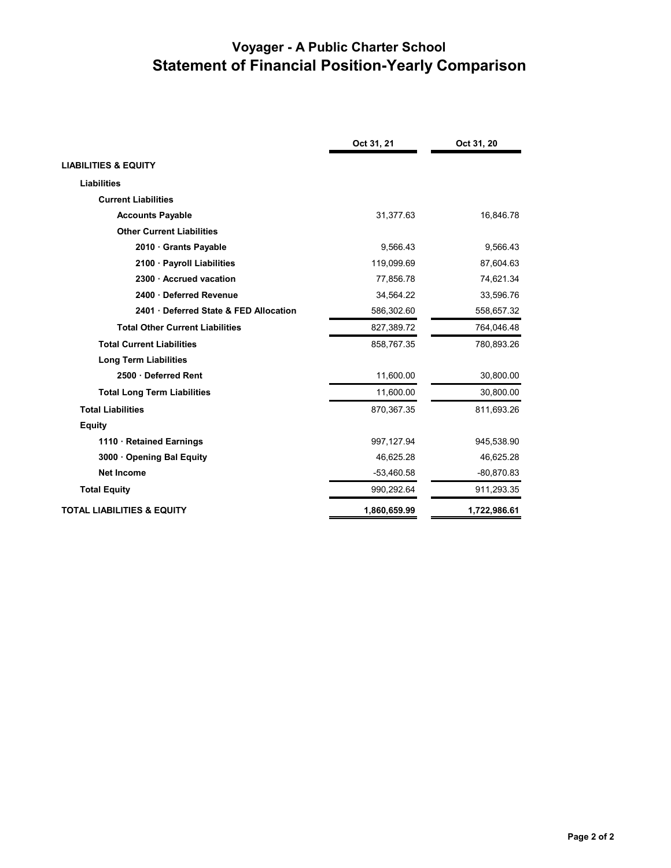|                                        | Oct 31, 21   | Oct 31, 20   |
|----------------------------------------|--------------|--------------|
| <b>LIABILITIES &amp; EQUITY</b>        |              |              |
| <b>Liabilities</b>                     |              |              |
| <b>Current Liabilities</b>             |              |              |
| <b>Accounts Payable</b>                | 31,377.63    | 16,846.78    |
| <b>Other Current Liabilities</b>       |              |              |
| 2010 Grants Payable                    | 9,566.43     | 9,566.43     |
| 2100 · Payroll Liabilities             | 119,099.69   | 87,604.63    |
| 2300 · Accrued vacation                | 77,856.78    | 74,621.34    |
| 2400 · Deferred Revenue                | 34,564.22    | 33,596.76    |
| 2401 Deferred State & FED Allocation   | 586,302.60   | 558,657.32   |
| <b>Total Other Current Liabilities</b> | 827,389.72   | 764,046.48   |
| <b>Total Current Liabilities</b>       | 858,767.35   | 780,893.26   |
| <b>Long Term Liabilities</b>           |              |              |
| 2500 Deferred Rent                     | 11,600.00    | 30,800.00    |
| <b>Total Long Term Liabilities</b>     | 11,600.00    | 30,800.00    |
| <b>Total Liabilities</b>               | 870,367.35   | 811,693.26   |
| <b>Equity</b>                          |              |              |
| 1110 · Retained Earnings               | 997,127.94   | 945,538.90   |
| 3000 Opening Bal Equity                | 46,625.28    | 46,625.28    |
| <b>Net Income</b>                      | $-53,460.58$ | $-80,870.83$ |
| <b>Total Equity</b>                    | 990,292.64   | 911,293.35   |
| <b>TOTAL LIABILITIES &amp; EQUITY</b>  | 1,860,659.99 | 1,722,986.61 |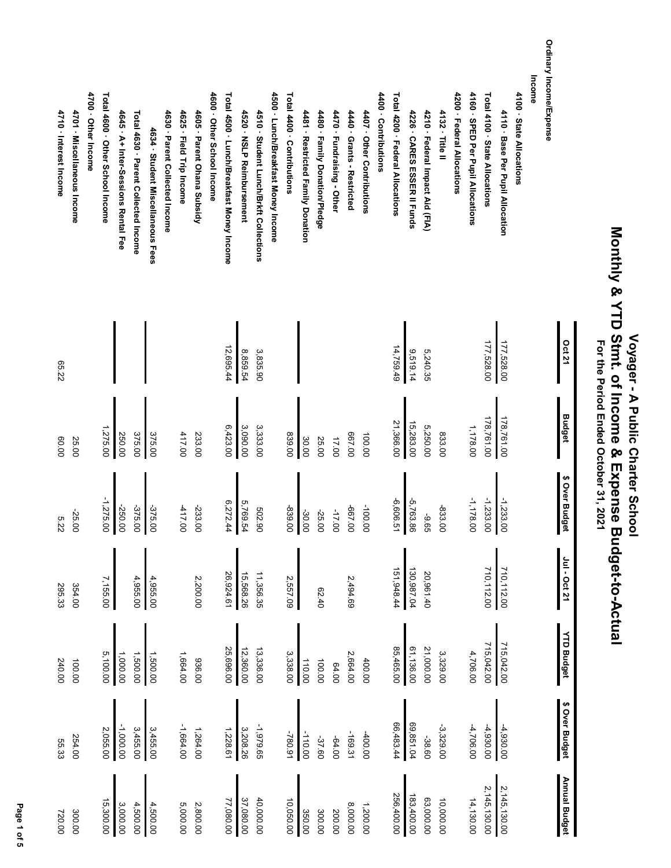### **Monthly & YTD Stmt. of Income & Expense Budget-to-Actual** Monthly & YTD Stmt. of Income & Expense Budget-to-Actual  **Voyager - A Public Charter School** Voyager - A Public Charter School For the Period Ended October 31, 2021  **For the Period Ended October 31, 2021**

**Oct 21**

**Income**

**Budget**

**\$ Over Budget**

\$ Over Budget

**Jul - Oct 21**

Jul - Oct 21

**YTD Budget**

**YTD Budget** 

**\$ Over Budget**

\$ Over Budget

**Annual Budget**

Annual Budget

Ordinary Income/Expense **Ordinary Income/Expense** 4160 · SPED Per Pupil Allocations Total 4100 · State Allocations 4700 · Other Income Total 4600 · Other School Income 4400 - Contributions Total 4200 · Federal Allocations 4200 · Federal Allocations 4100 · State Allocations **4700 · Other Income Total 4600 · Other School Income** 4600 · Other School Income **4600 · Other School Income** Total 4500 · Lunch/Breakfast Money Income **Total 4500 · Lunch/Breakfast Money Income** 4500 · Lunch/Breakfast Money Income **4500 · Lunch/Breakfast Money Income** Total 4400 · Contributions **Total 4400 · Contributions 4400 · Contributions Total 4200 · Federal Allocations 4200 · Federal Allocations 4160 · SPED Per Pupil Allocations Total 4100 · State Allocations 4100 · State Allocations** 4110 · Base Per Pupil Allocation 4701 · Miscellaneous Income Total 4630 · Parent Collected Income 4630 · Parent Collected Income 4625 · Field Trip Income 4605 · Parent Ohana Subsidy 4520 · NSLP Reimbursement 4510 · Student Lunch/Brkft Collections 4481 · Restricted Family Donation 4470 · Fundraising - Other 4407 · Other Contributions 4210 · Federal Impact Aid (FIA) 4132 · Title II **4701 · Miscellaneous Income** 4645 · A+ Inter-Sessions Rental Fee **4645 · A+ Inter-Sessions Rental Fee Total 4630 · Parent Collected Income 4630 · Parent Collected Income 4625 · Field Trip Income 4605 · Parent Ohana Subsidy 4520 · NSLP Reimbursement 4510 · Student Lunch/Brkft Collections 4481 · Restricted Family Donation** 4480 · Family Donation/Pledge **4480 · Family Donation/Pledge 4470 · Fundraising - Other** 4440 Grants - Restricted **4440 · Grants - Restricted 4407 · Other Contributions** 4226 · CARES ESSER II Funds **4226 · CARES ESSER II Funds 4210 · Federal Impact Aid (FIA) 4132 · Title II 4110 · Base Per Pupil Allocation** 4634 · Student Miscellaneous Fees **4634 · Student Miscellaneous Fees** 177,528.00 177,528.00 177,528.00 177,528.00 12,695.44 8,859.54 14,759.49 12,695.44 14,759.49 3,835.90 9,519.14 5,240.35  $\frac{178,761.00}{178,761.00}$ 178,761.00 178,761.00 21,366.00 6,423.00 3,090.00 21,366.00 15,283.00 5,250.00 3,333.00 15,283.00 1,178.00 1,275.00 417.00 833.00 375.00 375.00 839.00 667.00 250.00 233.00 100.00 30.00 25.00 17.00 25.00 -1,233.00 -6,606.51 -1,178.00 -1,233.00 -1,275.00 6,272.44 5,769.54 -5,763.86 -375.00 -417.00 -100.00 -250.00 -233.00 -667.00 -833.00 -375.00 502.90 -839.00 -17.00 -25.00 -30.00 -25.00 -9.65 710,112.00 151,948.44 130,987.04 151,948.44 130,987.04 710,112.00 710,112.00 20,961.40 26,924.61 15,568.26 11,356.35 4,955.00 4,955.00 2,557.09 20,961.40 7,155.00 15,568.26 11,356.35 2,200.00 2,494.69 354.00 62.40 715,042.00 85,465.00 715,042.00 715,042.00 25,696.00 12,360.00 61,136.00 13,336.00 3,338.00 21,000.00 4,706.00 5,100.00 1,500.00 25,696.00 85,465.00 61,136.00 21,000.00 1,000.00 1,500.00 13,336.00 3,329.00 1,664.00 2,664.00 936.00 110.00 400.00 100.00 100.00 64.00 -1,000.00 3,455.00 3,455.00 -1,664.00 66,483.44 69,851.04 -4,930.00 -4,930.00 2,055.00 -1,979.65 66,483.44 69,851.04 -3,329.00 -4,706.00 1,228.61 3,208.26 1,264.00 -780.91 -110.00 -169.31 -400.00 254.00 -37.60 -64.00 -38.60 2,145,130.00 2,145,130.00 2,145,130.00 2,145,130.00 256,400.00 183,400.00 256,400.00 183,400.00 77,080.00 37,080.00 40,000.00 63,000.00 10,000.00 14,130.00 15,300.00 3,000.00 4,500.00 40,000.00 10,050.00 4,500.00 77,080.00 37,080.00 1,200.00 63,000.00 5,000.00 2,800.00 8,000.00 350.00 200.00 300.00 300.00

 **Page 1 of 5** Page 1 of 5 **4710 · Interest Income**

4710 · Interest Income

65.22

60.00

5.22

295.33

240.00

55.33

720.00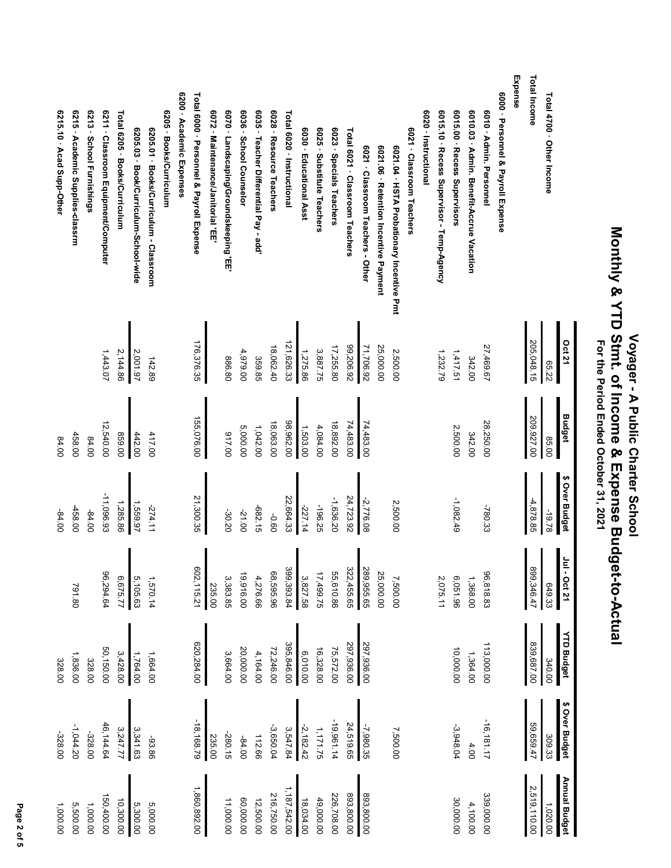|                                           | <b>Oct 21</b> | <b>Budget</b> | \$ Over Budget | $\tilde{\mathbf{E}}$<br>$-$ Oct 21 | <b>YTD Budget</b> | \$ Over Budget | Annual Budget |
|-------------------------------------------|---------------|---------------|----------------|------------------------------------|-------------------|----------------|---------------|
| Total 4700 · Other Income                 | 65.22         | 85.00         | -19.78         | 649.33                             | 340.00            | 309.33         | 1,020.00      |
| Total Income                              | 205,048.15    | 209,927.00    | $-4,878.85$    | 899,346.47                         | 839,687.00        | 59,659.47      | 2,519,110.00  |
| Expense                                   |               |               |                |                                    |                   |                |               |
| 6000 · Personnel & Payroll Expense        |               |               |                |                                    |                   |                |               |
| 6010 - Admin. Personnel                   | 27,469.67     | 28,250.00     | $-780.33$      | 96,818.83                          | 113,000.00        | $-16, 181.17$  | 339,000.00    |
| 6010.03 · Admin. Benefit-Accrue Vacation  | 342.00        | 342.00        |                | 1,368.00                           | 1,364.00          | 4.00           | 4,100.00      |
| 6015.00 · Recess Supervisors              | 1,417.51      | 2,500.00      | $-1,082.49$    | 6,051.96                           | 10,000.00         | $-3,948.04$    | 30,000.00     |
| 6015.10 · Recess Supervisor - Temp-Agency | 1,232.79      |               |                | 2,075.11                           |                   |                |               |
| 6020 - Instructional                      |               |               |                |                                    |                   |                |               |
| 6021 · Classroom Teachers                 |               |               |                |                                    |                   |                |               |
| 6021.04 · HSTA Probationary Incentive Pmt | 2,500.00      |               | 2,500.00       | 7,500.00                           |                   | 7,500.00       |               |
| 6021.06 · Retention Incentive Payment     | 25,000.00     |               |                | 25,000.00                          |                   |                |               |
| 6021 · Classroom Teachers - Other         | 71,706.92     | 74,483.00     | $-2,776.08$    | 289,955.65                         | 297,936.00        | $-7,980.35$    | 893,800.00    |
| Total 6021 · Classroom Teachers           | 99,206.92     | 74,483.00     | 24,723.92      | 322,455.65                         | 297,936.00        | 24,519.65      | 893,800.00    |
| 6023 · Specials Teachers                  | 17,255.80     | 18,892.00     | $-1,636.20$    | 55,610.86                          | 75,572.00         | $-19,961.14$   | 226,708.00    |
| 6025 · Substitute Teachers                | 3,887.75      | 4,084.00      | $-196.25$      | 17,499.75                          | 16,328.00         | 1,171.75       | 49,000.00     |
| 6030 · Educational Asst                   | 1,275.86      | 1,503.00      | -227.14        | 3,827.58                           | 6,010.00          | $-2,182.42$    | 18,034.00     |
| Total 6020 - Instructional                | 121,626.33    | 98,962.00     | 22,664.33      | 399,393.84                         | 395,846.00        | 3,547.84       | 1,187,542.00  |
| 6028 · Resource Teachers                  | 18,062.40     | 18,063.00     | 09'0-          | 68,595.96                          | 72,246.00         | $-3,650.04$    | 216,750.00    |
| 6035 · Teacher Differential Pay - add     | 359.85        | 1,042.00      | $-682.15$      | 4,276.66                           | 4,164.00          | 112.66         | 12,500.00     |
| 6036 · School Counselor                   | 4,979.00      | 5,000.00      | -21.00         | 19,916.00                          | 20,000.00         | $-84.00$       | 00.000,00     |
| 6070 · Landscaping/Groundskeeping 'EE'    | 886.80        | 017.00        | -30.20         | 3,383.85                           | 3,664.00          | $-280.15$      | 11,000.00     |
| 6072 · Maintenance/Janitorial 'EE         |               |               |                | 235.00                             |                   | 235.00         |               |
| Total 6000 · Personnel & Payroll Expense  | 176,376.35    | 155,076.00    | 21,300.35      | 602,115.21                         | 620,284.00        | $-18,168.79$   | 1,860,892.00  |
| 6200 Academic Expenses                    |               |               |                |                                    |                   |                |               |
| 6205 · Books/Curriculum                   |               |               |                |                                    |                   |                |               |
| 6205.01 · Books/Curriculum - Classroom    | 142.89        | 417.00        | $-274.11$      | 1,570.14                           | 1,664.00          | -93.86         | 5,000.00      |
| 6205.03 · Book/Curriculum-School-wide     | 2,001.97      | 442.00        | 1,559.97       | 5,105.63                           | 1,764.00          | 3,341.63       | 5,300.00      |
| Total 6205 · Books/Curriculum             | 2,144.86      | 859.00        | 1,285.86       | 6,675.77                           | 3,428.00          | 3,247.77       | 10,300.00     |
| 6211 · Classroom Equipment/Computer       | 1,443.07      | 12,540.00     | $-11,096.93$   | 96,294.64                          | 50,150.00         | 46,144.64      | 150,400.00    |
| 6213 · School Furnishings                 |               | 84.00         | $-84.00$       |                                    | 328.00            | -328.00        | 1,000.00      |
| 6215 · Academic Supplies-classrm          |               | 458.00        | -458.00        | 791.80                             | 1,836.00          | $-1,044.20$    | 5,500.00      |
| 6215.10 Acad Supp-Other                   |               | 84.00         | $-84.00$       |                                    | 328.00            | $-328.00$      | 1,000.00      |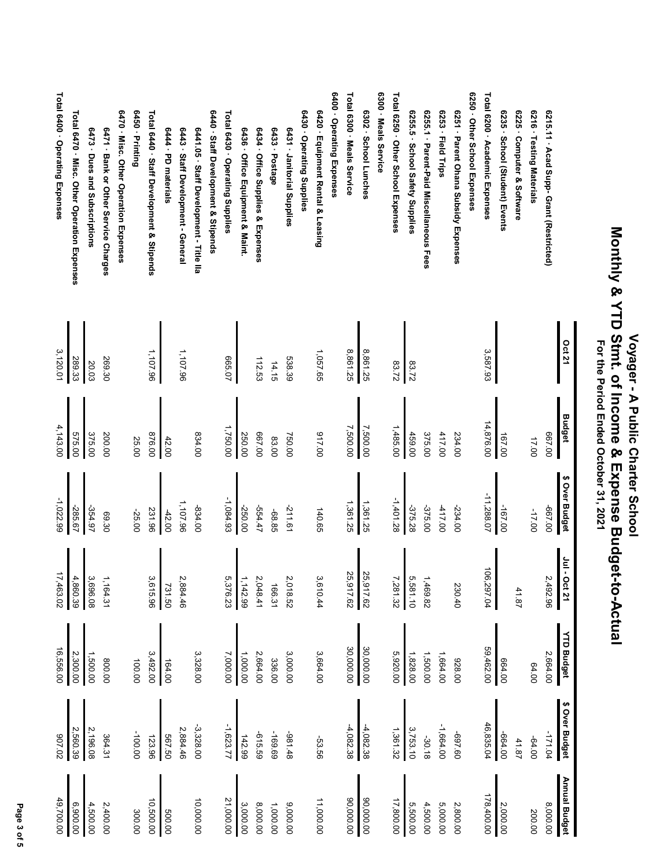|                                             | <b>Oct 21</b> | <b>Budget</b> | \$ Over Budget | $11 - 6$<br>Oct 21 | <b>YTD Budget</b> | \$ Over Budget | Annual Budget |
|---------------------------------------------|---------------|---------------|----------------|--------------------|-------------------|----------------|---------------|
| 6215.11 - Acad Supp- Grant (Restricted)     |               | 00'199        | 00'199-        | 2,492.96           | 2,664.00          | -171.04        | 8,000.00      |
| 6216 · Testing Materials                    |               | 17.00         | -17.00         |                    | 64.00             | $-64.00$       | 200.00        |
| 6225 · Computer & Software                  |               |               |                | 41.87              |                   | 41.87          |               |
| 6235 · School (Student) Events              |               | 167.00        | -167.00        |                    | 00'199            | -664.00        | 2,000.00      |
| Total 6200 · Academic Expenses              | 3,587.93      | 14,876.00     | -11,288.07     | 106,297.04         | 59,462.00         | 46,835.04      | 178,400.00    |
| 6250 · Other School Expenses                |               |               |                |                    |                   |                |               |
| 6251 · Parent Ohana Subsidy Expenses        |               | 234.00        | $-234.00$      | 230.40             | 00'826            | 09'169-        | 2,800.00      |
| 6253 · Field Trips                          |               | 417.00        | $-417.00$      |                    | 1,664.00          | $-1,664.00$    | 5,000.00      |
| 625.1 · Parent-Paid Miscellaneous Fees      |               | 375.00        | -375.00        | 1,469.82           | 1,500.00          | $-30.18$       | 4,500.00      |
| 6255.5 · School Safety Supplies             | 83.72         | 459.00        | -375.28        | 5,581.10           | 1,828.00          | 3,753.10       | 5,500.00      |
| Total 6250 · Other School Expenses          | 83.72         | 1,485.00      | $-1,401.28$    | 7,281.32           | 5,920.00          | 1,361.32       | 17,800.00     |
| 6300 - Meals Service                        |               |               |                |                    |                   |                |               |
| 6302 · School Lunches                       | 8,861.25      | 7,500.00      | 1,361.25       | 25,917.62          | 30,000.00         | $-4,082.38$    | 00.000,09     |
| Total 6300 · Meals Service                  | 8,861.25      | 7,500.00      | 1,361.25       | 25,917.62          | 30,000.00         | $-4,082.38$    | 00'000'06     |
| 6400 - Operating Expenses                   |               |               |                |                    |                   |                |               |
| 6420 · Equipment Rental & Leasing           | 1,057.65      | 00'116        | 140.65         | 3,610.44           | 3,664.00          | -53.56         | 11,000.00     |
| 6430 · Operating Supplies                   |               |               |                |                    |                   |                |               |
| 6431 - Janitorial Supplies                  | 538.39        | 750.00        | $-211.61$      | 2,018.52           | 3,000.00          | 84.48          | 9,000.00      |
| 6433 · Postage                              | 14.15         | 83.00         | -68.85         | 166.31             | 336.00            | -169.69        | 1,000.00      |
| 6434 · Office Supplies & Expenses           | 112.53        | 00'199        | -554.47        | 2,048.41           | 2,664.00          | -615.59        | 8,000.00      |
| 6436 · Office Equipment & Maint.            |               | 250.00        | -250.00        | 1,142.99           | 1,000.00          | 142.99         | 3,000.00      |
| Total 6430 · Operating Supplies             | 20'999        | 1,750.00      | $-1,084.93$    | 5,376.23           | 7,000.00          | $-1,623.77$    | 21,000.00     |
| 6440 · Staff Development & Stipends         |               |               |                |                    |                   |                |               |
| 6441.05 · Staff Development - Title IIa     |               | 834.00        | -834.00        |                    | 3,328.00          | $-3,328.00$    | 10,000.00     |
| 6443 · Staff Development - General          | 1,107.96      |               | 1,107.96       | 2,884.46           |                   | 2,884.46       |               |
| 6444 - PD materials                         |               | 42.00         | $-42.00$       | 731.50             | 164.00            | 567.50         | 500.00        |
| Total 6440 · Staff Development & Stipends   | 1,107.96      | 00'928        | 231.96         | 3,615.96           | 3,492.00          | 123.96         | 10,500.00     |
| 6450 - Printing                             |               | 25.00         | -25.00         |                    | 100.00            | -100.00        | 300.00        |
| 6470 · Misc. Other Operation Expenses       |               |               |                |                    |                   |                |               |
| 6471 - Bank or Other Service Charges        | 269.30        | 200.00        | 69.30          | 1,164.31           | 00.008            | 364.31         | 2,400.00      |
| 6473 · Dues and Subscriptions               | 20.03         | 375.00        | -354.97        | 3,696.08           | 1,500.00          | 2,196.08       | 4,500.00      |
| Total 6470 · Misc. Other Operation Expenses | 289.33        | 575.00        | -285.67        | 4,860.39           | 2,300.00          | 2,560.39       | 6,900.00      |
| Total 6400 · Operating Expenses             | 3,120.01      | 4,143.00      | $-1,022.99$    | 17,463.02          | 16,556.00         | 20'106         | 49,700.00     |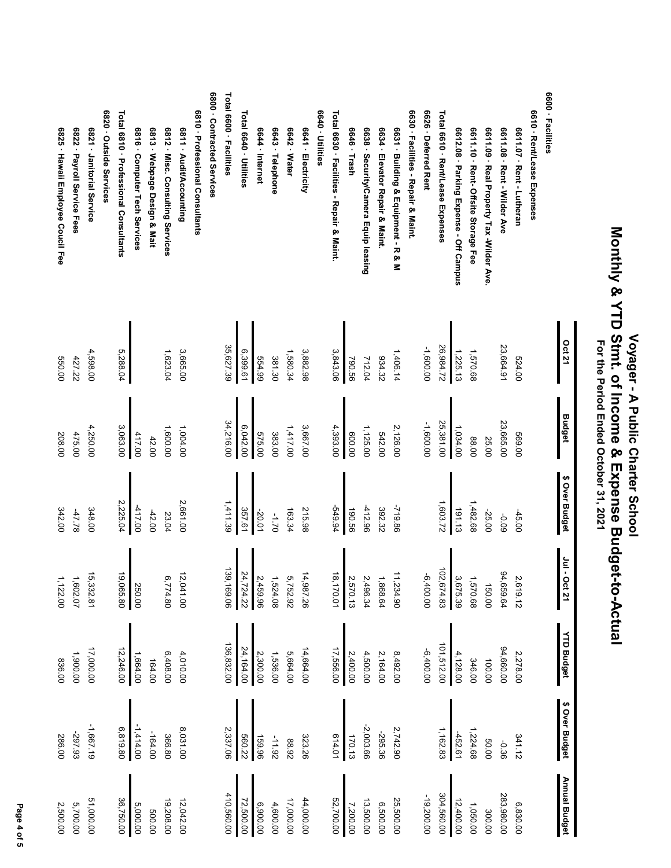|                                           | <b>Oct 21</b> | <b>Budget</b> | \$ Over Budget | $Jul - 0$<br><b>Oct 21</b> | <b>YTD Budget</b> | \$ Over Budget | Annual Budget |
|-------------------------------------------|---------------|---------------|----------------|----------------------------|-------------------|----------------|---------------|
| 6600 - Facilities                         |               |               |                |                            |                   |                |               |
| 6610 · Rent/Lease Expenses                |               |               |                |                            |                   |                |               |
| 6611.07 · Rent - Lutheran                 | 524.00        | 569.00        | $-45.00$       | 2,619.12                   | 2,278.00          | 341.12         | 6,830.00      |
| 6611.08 · Rent - Wilder Ave               | 23,664.91     | 23,665.00     | -0.09          | 94,659.64                  | 94,660.00         | $-0.36$        | 283,980.00    |
| 6611.09 · Real Property Tax -Wilder Ave   |               | 25.00         | $-25.00$       | 150.00                     | 100.00            | 50.00          | 300.00        |
| 6611.10 · Rent- Offsite Storage Fee       | 1,570.68      | 88.00         | 1,482.68       | 1,570.68                   | 346.00            | 1,224.68       | 1,050.00      |
| 6612.08 · Parking Expense - Off Campus    | 1,225.13      | 1,034.00      | 191.13         | 3,675.39                   | 4,128.00          | -452.61        | 12,400.00     |
| Total 6610 · Rent/Lease Expenses          | 26,984.72     | 25,381.00     | 1,603.72       | 102,674.83                 | 101,512.00        | 1, 162.83      | 304,560.00    |
| 6626 Deferred Rent                        | -1,600.00     | -1,600.00     |                | 00.00.00                   | $-6,400.00$       |                | $-19,200.00$  |
| 6630 · Facilities - Repair & Maint        |               |               |                |                            |                   |                |               |
| 6631 · Building & Equipment - R & M       | 1,406.14      | 2,126.00      | -719.86        | ⇉<br>1,234.90              | 8,492.00          | 2,742.90       | 25,500.00     |
| 6634 · Elevator Repair & Maint            | 934.32        | 542.00        | 392.32         | 1,868.64                   | 2,164.00          | -295.36        | 6,500.00      |
| 6638 · Security/Camera Equip leasing      | 712.04        | 1,125.00      | -412.96        | 2,496.34                   | 4,500.00          | $-2,003.66$    | 13,500.00     |
| 6646 · Trash                              | 99.56         | 00'009        | 190.56         | 2,570.13                   | 2,400.00          | 170.13         | 7,200.00      |
| Total 6630 · Facilities - Repair & Maint. | 3,843.06      | 4,393.00      | -549.94        | 18,170.01                  | 17,556.00         | 614.01         | 52,700.00     |
| 6640 - Utilities                          |               |               |                |                            |                   |                |               |
| 6641 - Electricity                        | 3,882.98      | 3,667.00      | 215.98         | 14,987.26                  | 14,664.00         | 323.26         | 44,000.00     |
| 6642 · Water                              | 1,580.34      | 1,417.00      | 163.34         | 5,752.92                   | 5,664.00          | 88.92          | 17,000.00     |
| 6643 · Telephone                          | 381.30        | 383.00        | $02.1 -$       | 1,524.08                   | 1,536.00          | $-11.92$       | 4,600.00      |
| 6644 · Internet                           | 66'79         | 575.00        | -20.01         | 2,459.96                   | 2,300.00          | 159.96         | 6,900.00      |
| Total 6640 - Utilities                    | 6,399.61      | 6,042.00      | 357.61         | 24,724.22                  | 24,164.00         | 560.22         | 72,500.00     |
| Total 6600 · Facilities                   | 35,627.39     | 34,216.00     | 1,411.39       | 139, 169.06                | 136,832.00        | 2,337.06       | 410,560.00    |
| 6800 · Contracted Services                |               |               |                |                            |                   |                |               |
| 6810 · Professional Consultants           |               |               |                |                            |                   |                |               |
| 6811 - Audit/Accounting                   | 3,665.00      | 1,004.00      | 2,661.00       | 12,041.00                  | 4,010.00          | 8,031.00       | 12,042.00     |
| 6812 · Misc. Consulting Services          | 1,623.04      | 1,600.00      | 23.04          | 6,774.80                   | 6,408.00          | 366.80         | 19,208.00     |
| 6813 · Webpage Design & Mait              |               | 42.00         | $-42.00$       |                            | 164.00            | $-164.00$      | 500.00        |
| 6816 · Computer Tech Services             |               | 417.00        | $-417.00$      | 250.00                     | 1,664.00          | $-1,414.00$    | 5,000.00      |
| Total 6810 · Professional Consultants     | 5,288.04      | 3,063.00      | 2,225.04       | 19,065.80                  | 12,246.00         | 6,819.80       | 36,750.00     |
| 6820 · Outside Services                   |               |               |                |                            |                   |                |               |
| 6821 - Janitorial Service                 | 4,598.00      | 4,250.00      | 348.00         | 15,332.81                  | 17,000.00         | $-1,667.19$    | 51,000.00     |
| 6822 · Payroll Service Fees               | 427.22        | 475.00        | $-47.78$       | 1,602.07                   | 1,900.00          | -297.93        | 5,700.00      |
| 6825 · Hawaii Employee Coucil Fee         | 00'099        | 208.00        | 342.00         | 1,122.00                   | 836.00            | 286.00         | 2,500.00      |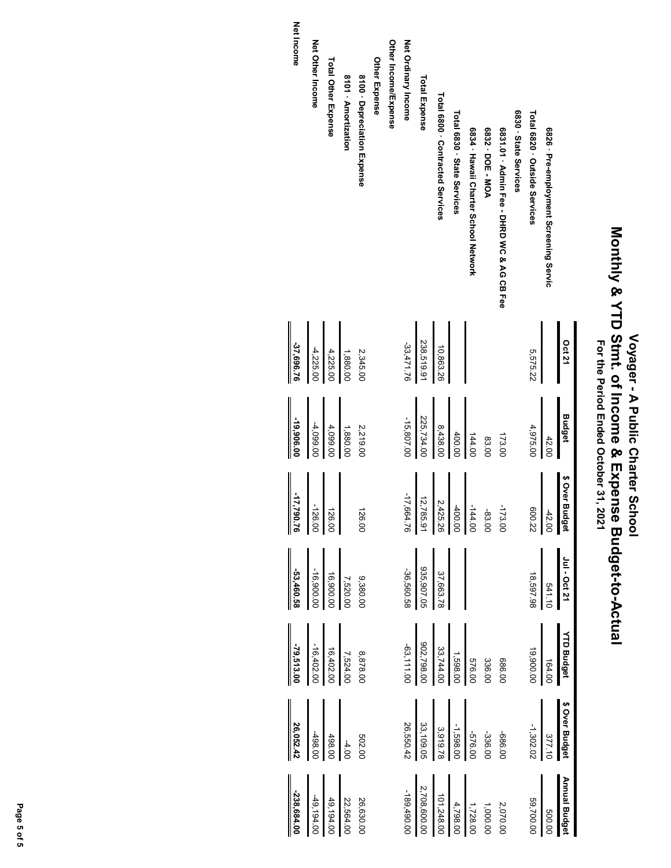|                                            | <b>Oct 21</b> | <b>Budget</b> | \$ Over Budget | Jul - Oct 21                          | <b>YTD Budget</b>                                                                                                          | \$ Over Budget                                                                                       | Annual Budget                      |
|--------------------------------------------|---------------|---------------|----------------|---------------------------------------|----------------------------------------------------------------------------------------------------------------------------|------------------------------------------------------------------------------------------------------|------------------------------------|
| 6826 · Pre-employment Screening Servic     |               | 42.00         | -42.00         | 541.10                                | 164.00                                                                                                                     | 377.10                                                                                               | 0009                               |
| Total 6820 · Outside Services              | 5,575.22      | 4,975.00      | 800.22         | 18,597.98                             | 19,900.00                                                                                                                  | $-1,302.02$                                                                                          | 59,700.00                          |
| 6830 State Services                        |               |               |                |                                       |                                                                                                                            |                                                                                                      |                                    |
| 6831.01 · Natin Fee - DHRD NOC & NG CB Fee |               | 173.00        | -173.00        |                                       | 00.989                                                                                                                     | 10.989-                                                                                              | 2,070.00                           |
| 6832 - DOE - MOA                           |               | 83.00         | -83.00         |                                       | 336.00                                                                                                                     | -336.00                                                                                              | 1,000.00                           |
| 6834 · Hawaii Charter School Network       |               | 144.00        | $-144.00$      |                                       |                                                                                                                            |                                                                                                      | 1,728.00                           |
| Total 6830 · State Services                |               | 400.0C        | -400.00        |                                       |                                                                                                                            |                                                                                                      |                                    |
| Total 6800 · Contracted Services           | 10,863.26     | 8,438.00      | 2,425.26       |                                       |                                                                                                                            |                                                                                                      | $4,798.00$<br>101,248.00           |
| <b>Total Expense</b>                       | 238,519.91    | 225,734.00    | 12,785.9       | 37,663.78<br>205,907.05<br>-36,560.58 | $\begin{array}{r l} & 576.00 \\ \hline 1,598.00 \\ \hline 33,744.00 \\ \hline 902,798.00 \\ \hline 902,798.00 \end{array}$ | $\begin{array}{r l} -576.00 & \ -1,598.00 & \ 33,109.05 & \ 33,109.05 & \ 26,550.42 & \ \end{array}$ | $\frac{2,708,600.00}{-189,490.00}$ |
| Net Ordinary Income                        | -33,471.76    | $-15,807.00$  | -17,664.76     |                                       |                                                                                                                            |                                                                                                      |                                    |
| Other Income/Expense                       |               |               |                |                                       |                                                                                                                            |                                                                                                      |                                    |
| Other Expense                              |               |               |                |                                       |                                                                                                                            |                                                                                                      |                                    |
| 8100 - Depreciation Expense                | 2,345.00      | 2,219.00      | 126.00         | 9,380.00                              | 8,878.00                                                                                                                   | 502.00                                                                                               | 26,630.00                          |
| 8101 - Amortization                        | 1,880.00      | 1,880.00      |                | 7,520.00                              |                                                                                                                            | $-4.00$                                                                                              | 22,564.00                          |
| Total Other Expense                        | 4,225.00      | 4,099.00      | 126.00         | 16,900.00                             | $\begin{bmatrix} 7,524.00 \\ 16,402.00 \\ -16,402.00 \end{bmatrix}$                                                        | 498.00                                                                                               | 49,194.00                          |
| Net Other Income                           | $-4,225.00$   | $-4,099.00$   | -126.00        | -16,900.00                            |                                                                                                                            | 498.00                                                                                               | -49,194.00                         |

Net Income **Net Income**

**-37,696.76**

 $-37,696.76$ 

**-19,906.00**

-19,906.00

**-17,790.76**

 $\frac{17,790.76}{17,790.76}$ 

**-53,460.58**

 $-53,460.58$ 

**-79,513.00**

 $-79,513.00$ 

**26,052.42**

**-238,684.00**

 $-238,684.00$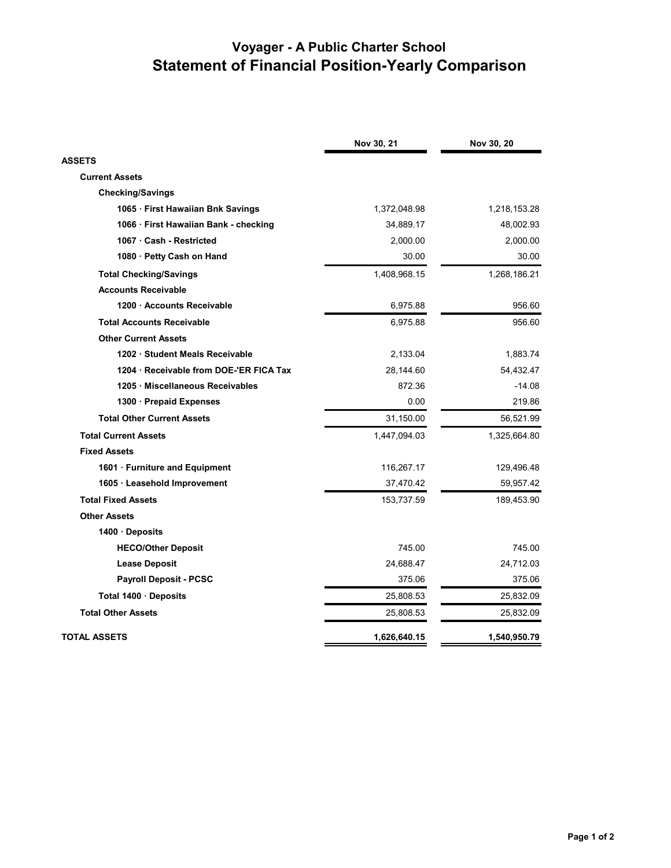|                                       | Nov 30, 21   | Nov 30, 20   |
|---------------------------------------|--------------|--------------|
| <b>ASSETS</b>                         |              |              |
| <b>Current Assets</b>                 |              |              |
| <b>Checking/Savings</b>               |              |              |
| 1065 · First Hawaiian Bnk Savings     | 1,372,048.98 | 1,218,153.28 |
| 1066 · First Hawaiian Bank - checking | 34,889.17    | 48,002.93    |
| 1067 · Cash - Restricted              | 2,000.00     | 2,000.00     |
| 1080 · Petty Cash on Hand             | 30.00        | 30.00        |
| <b>Total Checking/Savings</b>         | 1,408,968.15 | 1,268,186.21 |
| <b>Accounts Receivable</b>            |              |              |
| 1200 Accounts Receivable              | 6,975.88     | 956.60       |
| <b>Total Accounts Receivable</b>      | 6,975.88     | 956.60       |
| <b>Other Current Assets</b>           |              |              |
| 1202 · Student Meals Receivable       | 2,133.04     | 1,883.74     |
| 1204 Receivable from DOE-'ER FICA Tax | 28,144.60    | 54,432.47    |
| 1205 · Miscellaneous Receivables      | 872.36       | $-14.08$     |
| 1300 · Prepaid Expenses               | 0.00         | 219.86       |
| <b>Total Other Current Assets</b>     | 31,150.00    | 56,521.99    |
| <b>Total Current Assets</b>           | 1,447,094.03 | 1,325,664.80 |
| <b>Fixed Assets</b>                   |              |              |
| 1601 · Furniture and Equipment        | 116,267.17   | 129,496.48   |
| 1605 · Leasehold Improvement          | 37,470.42    | 59,957.42    |
| <b>Total Fixed Assets</b>             | 153,737.59   | 189,453.90   |
| <b>Other Assets</b>                   |              |              |
| 1400 Deposits                         |              |              |
| <b>HECO/Other Deposit</b>             | 745.00       | 745.00       |
| <b>Lease Deposit</b>                  | 24,688.47    | 24,712.03    |
| <b>Payroll Deposit - PCSC</b>         | 375.06       | 375.06       |
| Total 1400 · Deposits                 | 25,808.53    | 25,832.09    |
| <b>Total Other Assets</b>             | 25,808.53    | 25,832.09    |
| <b>TOTAL ASSETS</b>                   | 1,626,640.15 | 1,540,950.79 |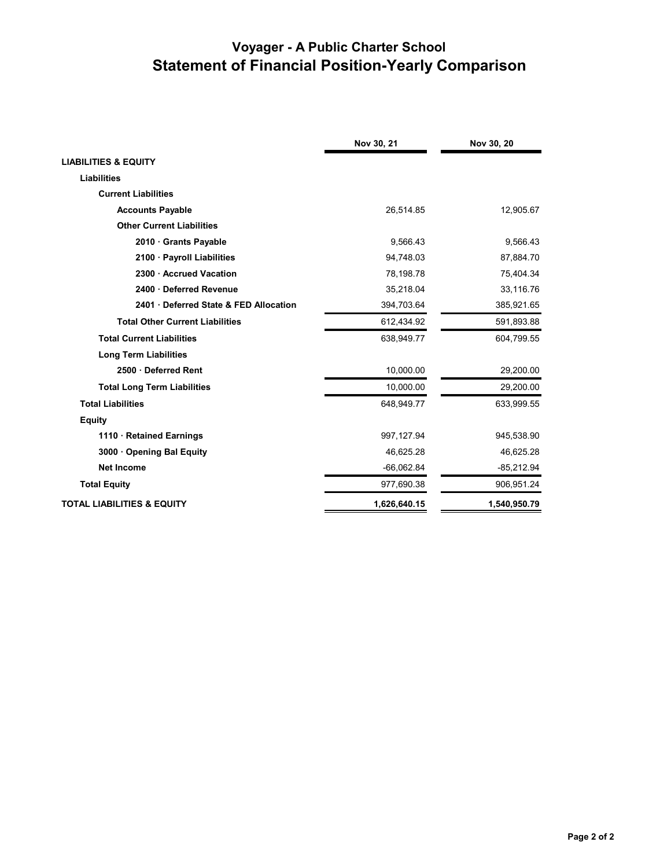|                                        | Nov 30, 21   | Nov 30, 20   |
|----------------------------------------|--------------|--------------|
| <b>LIABILITIES &amp; EQUITY</b>        |              |              |
| <b>Liabilities</b>                     |              |              |
| <b>Current Liabilities</b>             |              |              |
| <b>Accounts Payable</b>                | 26,514.85    | 12,905.67    |
| <b>Other Current Liabilities</b>       |              |              |
| 2010 Grants Payable                    | 9,566.43     | 9,566.43     |
| 2100 · Payroll Liabilities             | 94,748.03    | 87,884.70    |
| 2300 · Accrued Vacation                | 78,198.78    | 75,404.34    |
| 2400 Deferred Revenue                  | 35.218.04    | 33,116.76    |
| 2401 Deferred State & FED Allocation   | 394,703.64   | 385,921.65   |
| <b>Total Other Current Liabilities</b> | 612,434.92   | 591,893.88   |
| <b>Total Current Liabilities</b>       | 638,949.77   | 604,799.55   |
| <b>Long Term Liabilities</b>           |              |              |
| 2500 Deferred Rent                     | 10,000.00    | 29,200.00    |
| <b>Total Long Term Liabilities</b>     | 10,000.00    | 29,200.00    |
| <b>Total Liabilities</b>               | 648,949.77   | 633,999.55   |
| <b>Equity</b>                          |              |              |
| 1110 Retained Earnings                 | 997,127.94   | 945,538.90   |
| 3000 Opening Bal Equity                | 46,625.28    | 46,625.28    |
| <b>Net Income</b>                      | $-66,062.84$ | $-85,212.94$ |
| <b>Total Equity</b>                    | 977,690.38   | 906,951.24   |
| <b>TOTAL LIABILITIES &amp; EQUITY</b>  | 1,626,640.15 | 1,540,950.79 |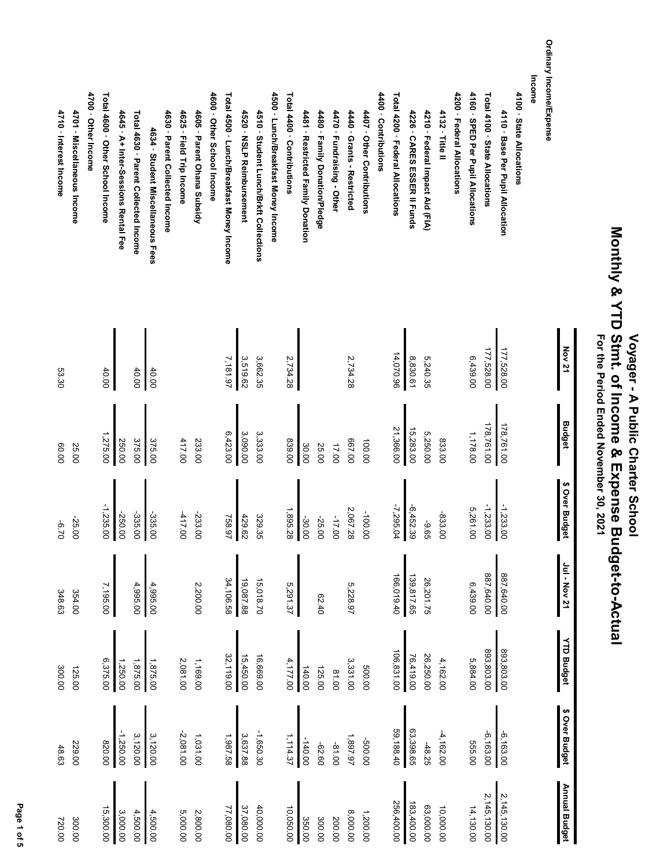|                                           | <b>Nov 21</b> | <b>Budget</b> | \$ Over Budget   | 101 - Nov 21 | <b>YTD Budget</b> | \$ Over Budget | <b>Annual Budget</b> |
|-------------------------------------------|---------------|---------------|------------------|--------------|-------------------|----------------|----------------------|
| Ordinary Income/Expense                   |               |               |                  |              |                   |                |                      |
| Income                                    |               |               |                  |              |                   |                |                      |
| 4100 State Allocations                    |               |               |                  |              |                   |                |                      |
| 4110 · Base Per Pupil Allocation          | 177,528.00    | 178,761.00    | $-1,233.00$      | 887,640.00   | 893,803.00        | $-6,163.00$    | 2,145,130.00         |
| Total 4100 · State Allocations            | 177,528.00    | 178,761.00    | $-1,233.00$      | 887,640.00   | 893,803.00        | $-6,163.00$    | 2,145,130.00         |
| 4160 · SPED Per Pupil Allocations         | 6,439.00      | 1,178.00      | 5,261.00         | 6,439.00     | 5,884.00          | 555.00         | 14,130.00            |
| 4200 · Federal Allocations                |               |               |                  |              |                   |                |                      |
| 4132 · Title II                           |               | 833.00        | -833.00          |              | 4,162.00          | $-4,162.00$    | 10,000.00            |
| 4210 · Federal Impact Aid (FIA)           | 5,240.35      | 5,250.00      | -9.65            | 26,201.75    | 26,250.00         | $-48.25$       | 63,000.00            |
| 4226 · CARES ESSER II Funds               | 8,830.61      | 15,283.00     | $-6,452.39$      | 139,817.65   | 76,419.00         | 63,398.65      | 183,400.00           |
| Total 4200 · Federal Allocations          | 14,070.96     | 21,366.00     | -7,295.04        | 166,019.40   | 106,831.00        | 59,188.40      | 256,400.00           |
| 4400 - Contributions                      |               |               |                  |              |                   |                |                      |
| 4407 · Other Contributions                |               | 100.00        | -100.00          |              | 500.00            | 00'009-        | 1,200.00             |
| 4440 - Grants - Restricted                | 2,734.28      | 00'199        | 2,067.28         | 5,228.97     | 3,331.00          | 1,897.97       | 8,000.00             |
| 4470 · Fundraising - Other                |               | 17.00         | $-17.00$         |              | 0018              | $-81.00$       | 200.00               |
| 4480 · Family Donation/Pledge             |               | 25.00         | -25.00           | 62.40        | 125.00            | -62.60         | 300.00               |
| 4481 · Restricted Family Donation         |               | 30.00         | -30.00           |              | 140.00            | $-140.00$      | 350.00               |
| Total 4400 · Contributions                | 2,734.28      | 00'688        | 1,895.28         | 5,291.37     | 4,177.00          | 1,114.37       | 10,050.00            |
| 4500 · Lunch/Breakfast Money Income       |               |               |                  |              |                   |                |                      |
| 4510 · Student Lunch/Brkft Collections    | 3,662.35      | 3,333.00      | 329.35           | 15,018.70    | 16,669.00         | $-1,650.30$    | 40,000.00            |
| 4520 · NSLP Reimbursement                 | 3,519.62      | 3,090.00      |                  | 19,087.88    | 15,450.00         | 3,637.88       | 37,080.00            |
| Total 4500 · Lunch/Breakfast Money Income | 7,181.97      | 6,423.00      | 429.62<br>758.97 | 34,106.58    | 32,119.00         | 1,987.58       | 77,080.00            |
| 4600 · Other School Income                |               |               |                  |              |                   |                |                      |
| 4605 · Parent Ohana Subsidy               |               | 233.00        | -233.00          | 2,200.00     | 1,169.00          | 1,031.00       | 2,800.00             |
| 4625 · Field Trip Income                  |               | 417.00        | $-417.00$        |              | 2,081.00          | $-2,081.00$    | 5,000.00             |
| 4630 · Parent Collected Income            |               |               |                  |              |                   |                |                      |
| 4634 · Student Miscellaneous Fees         | 40.00         | 375.00        | $-335.00$        | 4,995.00     | 1,875.00          | 3,120.00       | 4,500.00             |
| Total 4630 · Parent Collected Income      | 40.00         | 375.00        | -335.00          | 4,995.00     | 1,875.00          | 3,120.00       | 4,500.00             |
| 4645 · A+ Inter-Sessions Rental Fee       |               | 250.00        | -250.00          |              | 1,250.00          | -1,250.00      | 3,000.00             |
| Total 4600 · Other School Income          | 40.00         | 1,275.00      | $-1,235.00$<br>I | 7,195.00     | 6,375.00          | 00.08          | 15,300.00            |
| 4700 - Other Income                       |               |               |                  |              |                   |                |                      |
| 4701 · Miscellaneous Income               |               | 25.00         | -25.00           | 354.00       | 125.00            | 229.00         | 300.00               |
| 4710 · Interest Income                    | 53.30         | 60.00         | $02.9 -$         | 348.63       | 300.00            | 48.63          | 720.00               |

Page 1 of 5  **Page 1 of 5**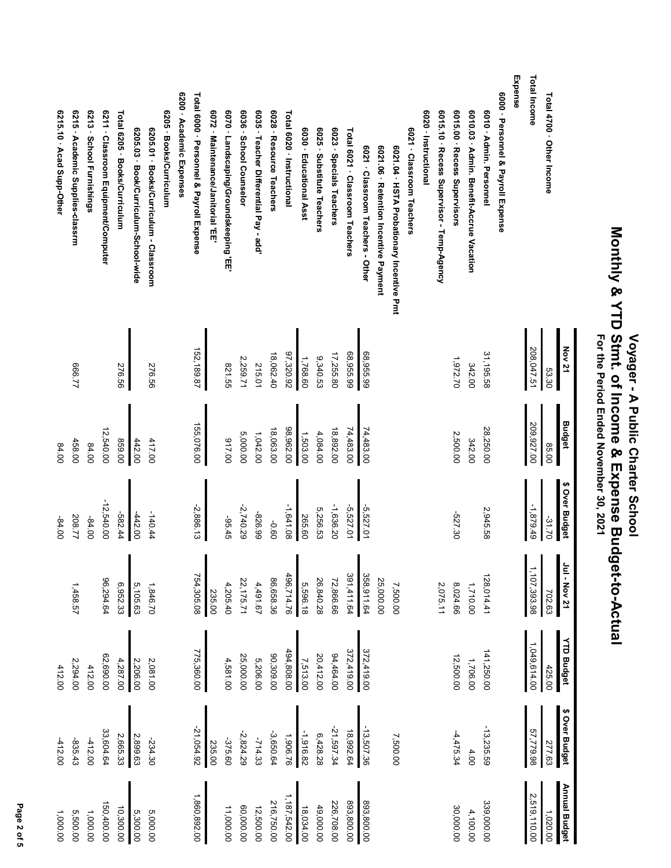|                                           | <b>Nov 21</b> | <b>Budget</b> | \$ Over Budget | 1ul - Nov 21   | <b>YTD Budget</b> | \$ Over Budget | <b>Annual Budget</b> |
|-------------------------------------------|---------------|---------------|----------------|----------------|-------------------|----------------|----------------------|
| Total 4700 · Other Income                 | 53.30         | 85.00         | -31.70         | 702.63         | 425.00            | 277.63         | 1,020.00             |
| Total Income                              | 208,047.51    | 209,927.00    | -1,879.49      | 1, 107, 393.98 | 1,049,614.00      | 57,779.98      | 2,519,110.00         |
| Expense                                   |               |               |                |                |                   |                |                      |
| 6000 · Personnel & Payroll Expense        |               |               |                |                |                   |                |                      |
| 6010 - Admin. Personnel                   | 31,195.58     | 28,250.00     | 2,945.58       | 128,014.41     | 141,250.00        | $-13,235.59$   | 339,000.00           |
| 6010.03 · Admin. Benefit-Accrue Vacation  | 342.00        | 342.00        |                | 1,710.00       | 1,706.00          | 4.00           | 4,100.00             |
| 6015.00 · Recess Supervisors              | 1,972.70      | 2,500.00      | -527.30        | 8,024.66       | 12,500.00         | $-4, 475.34$   | 30,000.00            |
| 6015.10 · Recess Supervisor - Temp-Agency |               |               |                | 2,075.11       |                   |                |                      |
| 6020 - Instructional                      |               |               |                |                |                   |                |                      |
| 6021 · Classroom Teachers                 |               |               |                |                |                   |                |                      |
| 6021.04 · HSTA Probationary Incentive Pmt |               |               |                | 7,500.00       |                   | 7,500.00       |                      |
| 6021.06 · Retention Incentive Payment     |               |               |                | 25,000.00      |                   |                |                      |
| 6021 · Classroom Teachers - Other         | 68,955.99     | 74,483.00     | $-5, 527.01$   | 358,911.64     | 372,419.00        | $-13,507.36$   | 893,800.00           |
| Total 6021 · Classroom Teachers           | 68,955.99     | 74,483.00     | 5,527.01       | 391,411.64     | 372,419.00        | 18,992.64      | 893,800.00           |
| 6023 Specials Teachers                    | 17,255.80     | 18,892.00     | $-1,636.20$    | 72,866.66      | 94,464.00         | -21,597.34     | 226,708.00           |
| 6025 · Substitute Teachers                | 9,340.53      | 4,084.00      | 5,256.53       | 26,840.28      | 20,412.00         | 6,428.28       | 49,000.00            |
| 6030 · Educational Asst                   | 1,768.60      | 1,503.00      | 265.60         | 5,596.18       | 7,513.00          | -1,916.82      | 18,034.00            |
| Total 6020 · Instructional                | 97,320.92     | 98,962.00     | $-1,641.08$    | 496,714.76     | 494,808.00        | 1,906.76       | 1,187,542.00         |
| 6028 · Resource Teachers                  | 18,062.40     | 18,063.00     | 09'0-          | 86,658.36      | 00,309.00         | $-3,650.64$    | 216,750.00           |
| 6035 · Teacher Differential Pay - add     | 215.01        | 1,042.00      | -826.99        | 4,491.67       | 5,206.00          | $-714.33$      | 12,500.00            |
| 6036<br><b>School Counselor</b>           | 2,259.71      | 5,000.00      | $-2,740.29$    | 22,175.71      | 25,000.00         | $-2,824.29$    | 00.000.00            |
| 6070.<br>Landscaping/Groundskeeping 'EE'  | 821.55        | 00'116        | $-95.45$       | 4,205.40       | 4,581.00          | -375.60        | 11,000.00            |
| 6072 · Maintenance/Janitorial 'EE         |               |               |                | 235.00         |                   | 235.00         |                      |
| Total 6000 · Personnel & Payroll Expense  | 152,189.87    | 155,076.00    | $-2,886.13$    | 754,305.08     | 775,360.00        | -21,054.92     | 1,860,892.00         |
| 6200 - Academic Expenses                  |               |               |                |                |                   |                |                      |
| 6205 · Books/Curriculum                   |               |               |                |                |                   |                |                      |
| 6205.01 · Books/Curriculum - Classroom    | 276.56        | 417.00        | -140.44        | 1,846.70       | 2,081.00          | -234.30        | 5,000.00             |
| 6205.03 · Book/Curriculum-School-wide     |               | 442.00        | $-442.00$      | 5,105.63       | 2,206.00          | 2,899.63       | 5,300.00             |
| Total 6205 · Books/Curriculum             | 276.56        | 00'628        | -582.44        | 6,952.33       | 4,287.00          | 2,665.33       | 10,300.00            |
| 6211 · Classroom Equipment/Computer       |               | 12,540.00     | $-12,540.00$   | 96,294.64      | 62,690.00         | 33,604.64      | 150,400.00           |
| 6213 · School Furnishings                 |               | 84.00         | -84.00         |                | 412.00            | $-412.00$      | 1,000.00             |
| <b>6215</b><br>Academic Supplies-classrm  | <b>666.77</b> | 458.00        | 208.77         | 1,458.57       | 2,294.00          | $-835.43$      | 5,500.00             |
| 6215.10 Acad Supp-Other                   |               | 84.00         | $-84.00$       |                | 412.00            | $-412.00$      | 1,000.00             |

Page 2 of 5  **Page 2 of 5**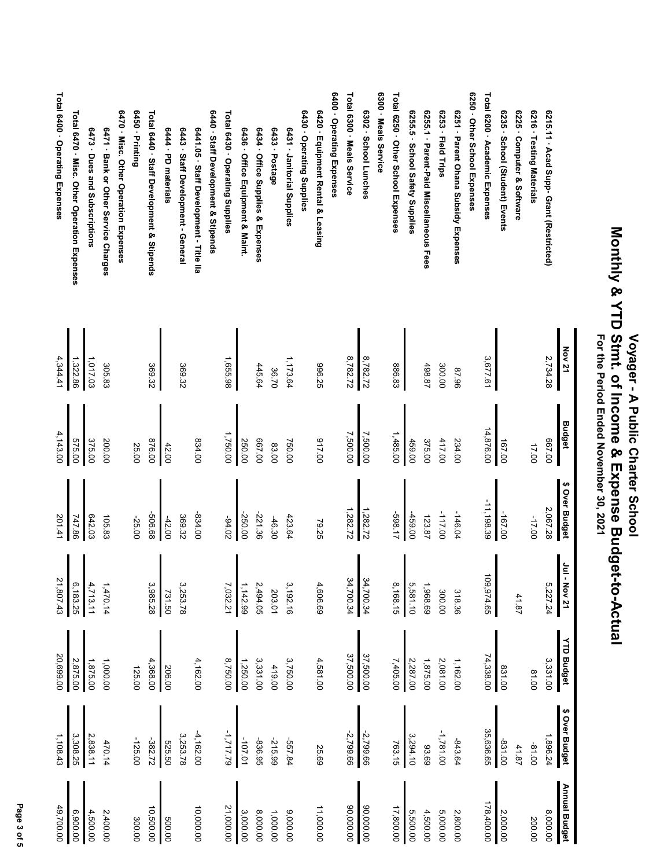|                                             | <b>Nov 21</b> | <b>Budget</b> | \$ Over Budget | ٵ<br>-<br>$-$ Nov 21 | <b>YTD Budget</b> | \$ Over Budget | Annual Budget |
|---------------------------------------------|---------------|---------------|----------------|----------------------|-------------------|----------------|---------------|
| 6215.11 - Acad Supp- Grant (Restricted)     | 2,734.28      | 00'199        | 2,067.28       | 5,227.24             | 3,331.00          | 1,896.24       | 8,000.00      |
| 6216 · Testing Materials                    |               | 17.00         | $-17.00$       |                      | 81.00             | -81.00         | 200.00        |
| 6225 · Computer & Software                  |               |               |                | 41.87                |                   | 41.87          |               |
| 6235 · School (Student) Events              |               | 167.00        | -167.00        |                      | 831.00            | -831.00        | 2,000.00      |
| Total 6200 · Academic Expenses              | 3,677.61      | 14,876.00     | $-11, 198.39$  | 109,974.65           | 74,338.00         | 35,636.65      | 178,400.00    |
| 6250 · Other School Expenses                |               |               |                |                      |                   |                |               |
| 6251 - Parent Ohana Subsidy Expenses        | 87.96         | 234.00        | -146.04        | 318.36               | 1,162.00          | -843.64        | 2,800.00      |
| 6253 · Field Trips                          | 300.00        | 417.00        | -117.00        | 300.00               | 2,081.00          | -1,781.00      | 5,000.00      |
| 6255.1 · Parent-Paid Miscellaneous Fees     | 498.87        | 375.00        | 123.87         | 1,968.69             | 1,875.00          | 93.69          | 4,500.00      |
| 6255.5 · School Safety Supplies             |               | 459.00        | 00'69+         | 5,581.10             | 2,287.00          | 3,294.10       | 5,500.00      |
| Total 6250 · Other School Expenses          | 886.83        | 1,485.00      | -598.17        | 8,168.15             | 7,405.00          | 763.15         | 17,800.00     |
| 6300 - Meals Service                        |               |               |                |                      |                   |                |               |
| 6302 · School Lunches                       | 8,782.72      | 7,500.00      | 1,282.72       | 34,700.34            | 37,500.00         | $-2,799.66$    | 00.000,09     |
| Total 6300 · Meals Service                  | 8,782.72      | 7,500.00      | 1,282.72       | 34,700.34            | 37,500.00         | -2,799.66      | 90,000.00     |
| 6400 - Operating Expenses                   |               |               |                |                      |                   |                |               |
| 6420 · Equipment Rental & Leasing           | 396.25        | 00'116        | 79.25          | 4,606.69             | 4,581.00          | 25.69          | 11,000.00     |
| 6430 - Operating Supplies                   |               |               |                |                      |                   |                |               |
| 6431 - Janitorial Supplies                  | 1,173.64      | 750.00        | 423.64         | 3,192.16             | 3,750.00          | -557.84        | 9,000.00      |
| 6433 · Postage                              | 36.70         | 83.00         | $-46.30$       | 203.01               | 419.00            | -215.99        | 1,000.00      |
| 6434 · Office Supplies & Expenses           | 445.64        | 00'199        | -221.36        | 2,494.05             | 3,331.00          | -836.95        | 8,000.00      |
| 6436 · Office Equipment & Maint.            |               | 250.00        | -250.00        | 1, 142.99            | 1,250.00          | -107.01        | 3,000.00      |
| Total 6430 · Operating Supplies             | 1,655.98      | 1,750.00      | $-94.02$       | 7,032.21             | 8,750.00          | -1,717.79      | 21,000.00     |
| 6440 · Staff Development & Stipends         |               |               |                |                      |                   |                |               |
| 6441.05 · Staff Development - Title IIa     |               | 834.00        | -834.00        |                      | 4,162.00          | $-4,162.00$    | 10,000.00     |
| 6443 · Staff Development - General          | 369.32        |               | 369.32         | 3,253.78             |                   | 3,253.78       |               |
| 6444 - PD materials                         |               | 42.00         | $-42.00$       | 731.50               | 206.00            | 525.50         | 500.00        |
| Total 6440 · Staff Development & Stipends   | 369.32        | 876.00        | -506.68        | 3,985.28             | 4,368.00          | -382.72        | 10,500.00     |
| 6450 - Printing                             |               | 25.00         | -25.00         |                      | 125.00            | $-125.00$      | 300.00        |
| 6470 · Misc. Other Operation Expenses       |               |               |                |                      |                   |                |               |
| 6471 - Bank or Other Service Charges        | 305.83        | 200.00        | 105.83         | 1,470.14             | 1,000.00          | 470.14         | 2,400.00      |
| 6473 · Dues and Subscriptions               | 1,017.03      | 375.00        | 642.03         | 4,713.11             | 1,875.00          | 2,838.11       | 4,500.00      |
| Total 6470 · Misc. Other Operation Expenses | 1,322.86      | 575.00        | 747.86         | 6,183.25             | 2,875.00          | 3,308.25       | 6,900.00      |
| Total 6400 · Operating Expenses             | 4,344.41      | 4,143.00      | 201.41         | 21,807.43            | 20,699.00         | 1,108.43       | 49,700.00     |

Page 3 of 5  **Page 3 of 5**

Voyager - A Public Charter School<br>Monthly & YTD Stmt. of Income & Expense Budget-to-Actual<br>For the Period Ended November 30, 2021  **Monthly & YTD Stmt. of Income & Expense Budget-to-Actual For the Period Ended November 30, 2021 Voyager - A Public Charter School**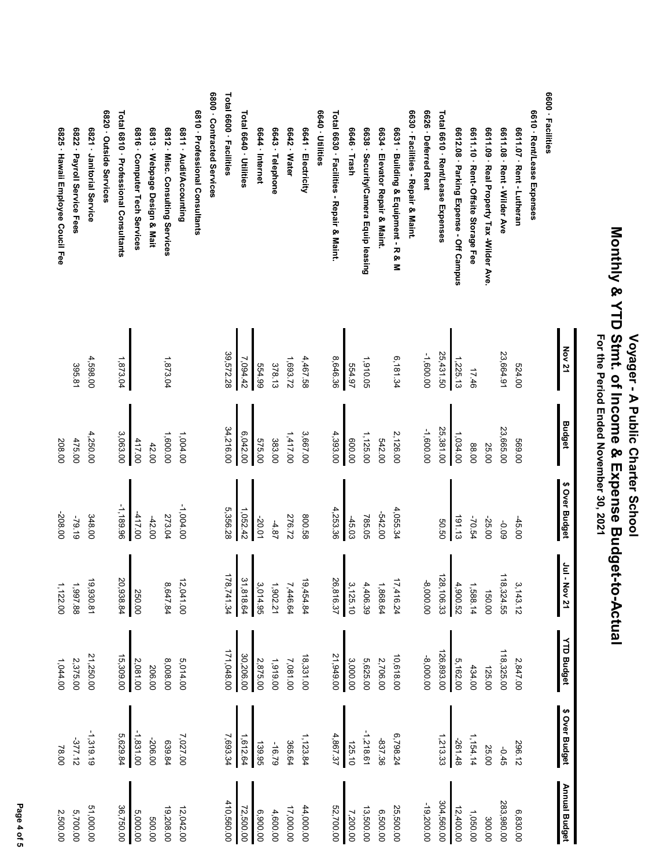|                                           | <b>Nov 21</b> | <b>Budget</b> | \$ Over Budget | Jul - Nov 21 | <b>YTD Budget</b> | \$ Over Budget | <b>Annual Budget</b> |
|-------------------------------------------|---------------|---------------|----------------|--------------|-------------------|----------------|----------------------|
| 6600 · Facilities                         |               |               |                |              |                   |                |                      |
| 6610 · Rent/Lease Expenses                |               |               |                |              |                   |                |                      |
| 6611.07 · Rent - Lutheran                 | 524.00        | 00'699        | $-45.00$       | 3,143.12     | 2,847.00          | 296.12         | 6,830.00             |
| 6611.08 · Rent - Wilder Ave               | 23,664.91     | 23,665.00     | 60'0-          | 118,324.55   | 118,325.00        | $-0.45$        | 283,980.00           |
| 6611.09 · Real Property Tax -Wilder Ave.  |               | 25.00         | -25.00         | 150.00       | 125.00            | 25.00          | 300.00               |
| eed - 10 - Rent-Offsite Storage Fee       | 17.46         | 88.00         | -70.54         | 1,588.14     | 434.00            | 1, 154.14      | 1,050.00             |
| 6612.08 · Parking Expense - Off Campus    | 1,225.13      | 1,034.00      | 191.13         | 4,900.52     | 5,162.00          | -261.48        | 12,400.00            |
| Total 6610 · Rent/Lease Expenses          | 25,431.50     | 25,381.00     | 50.50          | 128,106.33   | 126,893.00        | 1,213.33       | 304,560.00           |
| 6626 · Deferred Rent                      | -1,600.00     | -1,600.00     |                | -8,000.00    | -8,000.00         |                | -19,200.00           |
| 6630 · Facilities - Repair & Maint.       |               |               |                |              |                   |                |                      |
| 6631 · Building & Equipment - R & M       | 6,181.34      | 2,126.00      | 4,055.34       | 17,416.24    | 10,618.00         | 6,798.24       | 25,500.00            |
| 6634 · Elevator Repair & Maint.           |               | 542.00        | -542.00        | 1,868.64     | 2,706.00          | -837.36        | 6,500.00             |
| 6638 · Security/Camera Equip leasing      | 1,910.05      | 1,125.00      | 785.05         | 4,406.39     | 5,625.00          | $-1,218.61$    | 13,500.00            |
| 6646 · Trash                              | 554.97        | 00'009        | $-45.03$       | 3,125.10     | 3,000.00          | 125.10         | 7,200.00             |
| Total 6630 · Facilities - Repair & Maint: | 8,646.36      | 4,393.00      | 4,253.36       | 26,816.37    | 21,949.00         | 4,867.37       | 52,700.00            |
| 6640 · Utilities                          |               |               |                |              |                   |                |                      |
| 6641 - Electricity                        | 4,467.58      | 3,667.00      | 800.58         | 19,454.84    | 18,331.00         | 1, 123.84      | 44,000.00            |
| 6642 · Water                              | 1,693.72      | 1,417.00      | 276.72         | 7,446.64     | 7,081.00          | 365.64         | 17,000.00            |
| 6643 · Telephone                          | 378.13        | 383.00        | $-4.87$        | 1,902.21     | 1,919.00          | -16.79         | 4,600.00             |
| 6644 · Internet                           | 554.99        | 575.00        | -20.01         | 3,014.95     | 2,875.00          | 139.95         | 6,900.00             |
| Total 6640 · Utilities                    | 7,094.42      | 6,042.00      | 1,052.42       | 31,818.64    | 30,206.00         | 1,612.64       | 72,500.00            |
| Total 6600 · Facilities                   | 39,572.28     | 34,216.00     | 5,356.28       | 178,741.34   | 171,048.00        | 7,693.34       | 410,560.00           |
| 6800 - Contracted Services                |               |               |                |              |                   |                |                      |
| 6810 · Professional Consultants           |               |               |                |              |                   |                |                      |
| 6811 - Audit/Accounting                   |               | 1,004.00      | $-1,004.00$    | 12,041.00    | 5,014.00          | 7,027.00       | 12,042.00            |
| 6812 · Misc. Consulting Services          | 1,873.04      | 1,600.00      | 273.04         | 8,647.84     | 8,008.00          | 639.84         | 19,208.00            |
| 6813 · Webpage Design & Mait              |               | 42.00         | $-42.00$       |              | 206.00            | -206.00        | 500.00               |
| 6816 Computer Tech Services               |               | 417.00        | $-417.00$      | 250.00       | 2,081.00          | $-1,831.00$    | 5,000.00             |
| Total 6810 · Professional Consultants     | 1,873.04      | 3,063.00      | -1,189.96      | 20,938.84    | 15,309.00         | 5,629.84       | 36,750.00            |
| 6820 - Outside Services                   |               |               |                |              |                   |                |                      |
| 6821 · Janitorial Service                 | 4,598.00      | 4,250.00      | 348.00         | 19,930.81    | 21,250.00         | $-1,319.19$    | 51,000.00            |
| 6822 · Payroll Service Fees               | 395.81        | 475.00        | -79.19         | 1,997.88     | 2,375.00          | -377.12        | 5,700.00             |
| 6825 · Hawaii Employee Coucil Fee         |               | 208.00        | -208.00        | 1,122.00     | 1,044.00          | 78.00          | 2,500.00             |

Page 4 of 5  **Page 4 of 5**